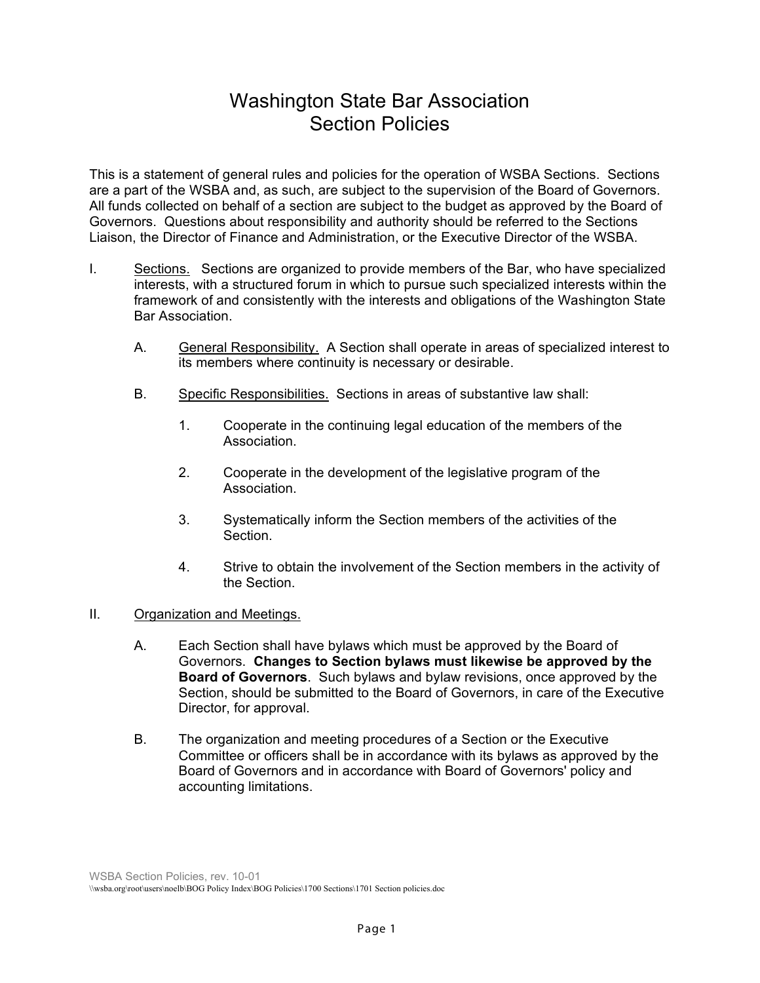# Washington State Bar Association Section Policies

This is a statement of general rules and policies for the operation of WSBA Sections. Sections are a part of the WSBA and, as such, are subject to the supervision of the Board of Governors. All funds collected on behalf of a section are subject to the budget as approved by the Board of Governors. Questions about responsibility and authority should be referred to the Sections Liaison, the Director of Finance and Administration, or the Executive Director of the WSBA.

- I. Sections. Sections are organized to provide members of the Bar, who have specialized interests, with a structured forum in which to pursue such specialized interests within the framework of and consistently with the interests and obligations of the Washington State Bar Association.
	- A. General Responsibility. A Section shall operate in areas of specialized interest to its members where continuity is necessary or desirable.
	- B. Specific Responsibilities. Sections in areas of substantive law shall:
		- 1. Cooperate in the continuing legal education of the members of the Association.
		- 2. Cooperate in the development of the legislative program of the Association.
		- 3. Systematically inform the Section members of the activities of the **Section**
		- 4. Strive to obtain the involvement of the Section members in the activity of the Section.

#### II. Organization and Meetings.

- A. Each Section shall have bylaws which must be approved by the Board of Governors. **Changes to Section bylaws must likewise be approved by the Board of Governors**. Such bylaws and bylaw revisions, once approved by the Section, should be submitted to the Board of Governors, in care of the Executive Director, for approval.
- B. The organization and meeting procedures of a Section or the Executive Committee or officers shall be in accordance with its bylaws as approved by the Board of Governors and in accordance with Board of Governors' policy and accounting limitations.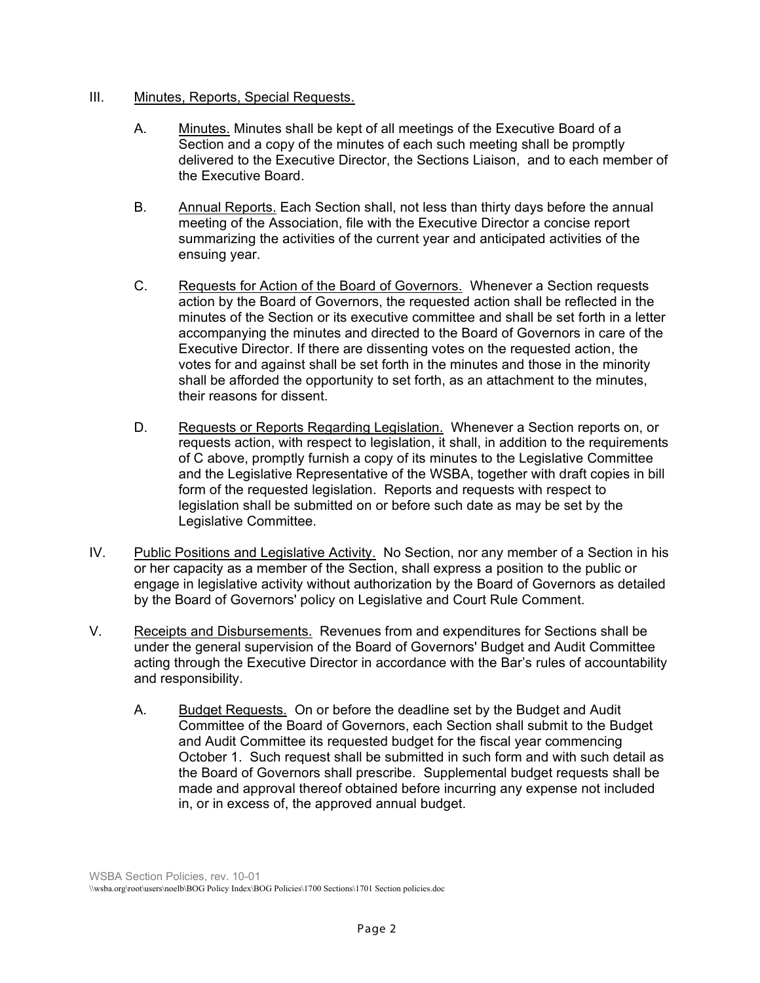### III. Minutes, Reports, Special Requests.

- A. Minutes. Minutes shall be kept of all meetings of the Executive Board of a Section and a copy of the minutes of each such meeting shall be promptly delivered to the Executive Director, the Sections Liaison, and to each member of the Executive Board.
- B. Annual Reports. Each Section shall, not less than thirty days before the annual meeting of the Association, file with the Executive Director a concise report summarizing the activities of the current year and anticipated activities of the ensuing year.
- C. Requests for Action of the Board of Governors. Whenever a Section requests action by the Board of Governors, the requested action shall be reflected in the minutes of the Section or its executive committee and shall be set forth in a letter accompanying the minutes and directed to the Board of Governors in care of the Executive Director. If there are dissenting votes on the requested action, the votes for and against shall be set forth in the minutes and those in the minority shall be afforded the opportunity to set forth, as an attachment to the minutes, their reasons for dissent.
- D. Requests or Reports Regarding Legislation. Whenever a Section reports on, or requests action, with respect to legislation, it shall, in addition to the requirements of C above, promptly furnish a copy of its minutes to the Legislative Committee and the Legislative Representative of the WSBA, together with draft copies in bill form of the requested legislation. Reports and requests with respect to legislation shall be submitted on or before such date as may be set by the Legislative Committee.
- IV. Public Positions and Legislative Activity. No Section, nor any member of a Section in his or her capacity as a member of the Section, shall express a position to the public or engage in legislative activity without authorization by the Board of Governors as detailed by the Board of Governors' policy on Legislative and Court Rule Comment.
- V. Receipts and Disbursements. Revenues from and expenditures for Sections shall be under the general supervision of the Board of Governors' Budget and Audit Committee acting through the Executive Director in accordance with the Bar's rules of accountability and responsibility.
	- A. Budget Requests. On or before the deadline set by the Budget and Audit Committee of the Board of Governors, each Section shall submit to the Budget and Audit Committee its requested budget for the fiscal year commencing October 1. Such request shall be submitted in such form and with such detail as the Board of Governors shall prescribe. Supplemental budget requests shall be made and approval thereof obtained before incurring any expense not included in, or in excess of, the approved annual budget.

WSBA Section Policies, rev. 10-01 \\wsba.org\root\users\noelb\BOG Policy Index\BOG Policies\1700 Sections\1701 Section policies.doc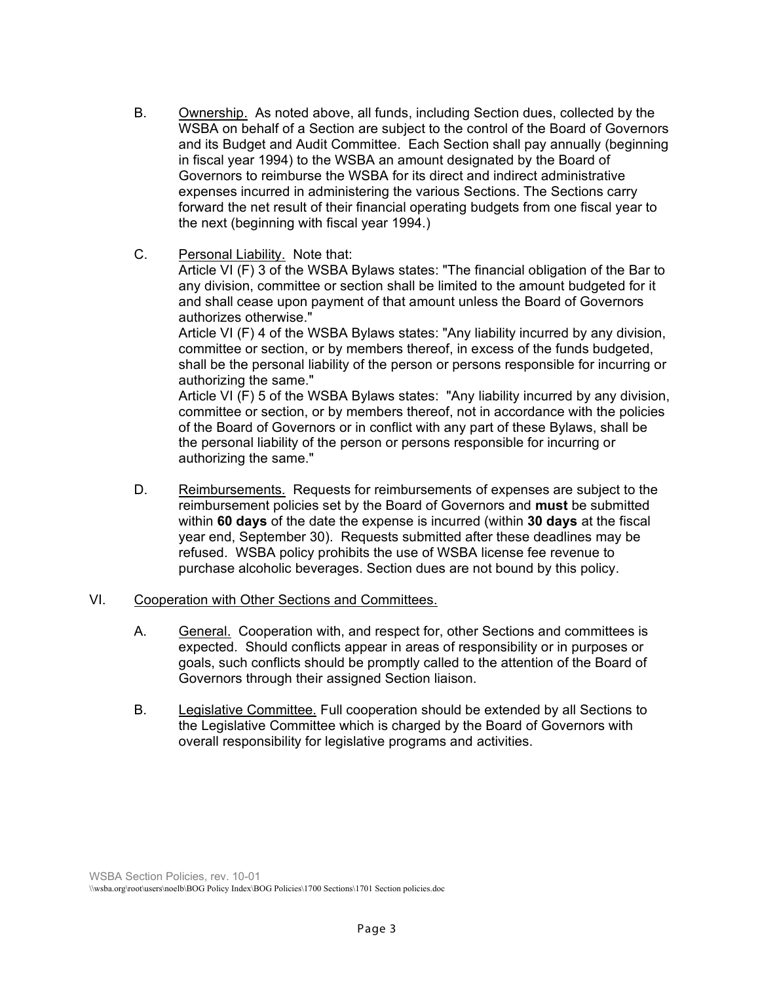- B. Ownership. As noted above, all funds, including Section dues, collected by the WSBA on behalf of a Section are subject to the control of the Board of Governors and its Budget and Audit Committee. Each Section shall pay annually (beginning in fiscal year 1994) to the WSBA an amount designated by the Board of Governors to reimburse the WSBA for its direct and indirect administrative expenses incurred in administering the various Sections. The Sections carry forward the net result of their financial operating budgets from one fiscal year to the next (beginning with fiscal year 1994.)
- C. Personal Liability. Note that:

Article VI (F) 3 of the WSBA Bylaws states: "The financial obligation of the Bar to any division, committee or section shall be limited to the amount budgeted for it and shall cease upon payment of that amount unless the Board of Governors authorizes otherwise."

Article VI (F) 4 of the WSBA Bylaws states: "Any liability incurred by any division, committee or section, or by members thereof, in excess of the funds budgeted, shall be the personal liability of the person or persons responsible for incurring or authorizing the same."

Article VI (F) 5 of the WSBA Bylaws states: "Any liability incurred by any division, committee or section, or by members thereof, not in accordance with the policies of the Board of Governors or in conflict with any part of these Bylaws, shall be the personal liability of the person or persons responsible for incurring or authorizing the same."

D. Reimbursements. Requests for reimbursements of expenses are subject to the reimbursement policies set by the Board of Governors and **must** be submitted within **60 days** of the date the expense is incurred (within **30 days** at the fiscal year end, September 30). Requests submitted after these deadlines may be refused. WSBA policy prohibits the use of WSBA license fee revenue to purchase alcoholic beverages. Section dues are not bound by this policy.

### VI. Cooperation with Other Sections and Committees.

- A. General. Cooperation with, and respect for, other Sections and committees is expected. Should conflicts appear in areas of responsibility or in purposes or goals, such conflicts should be promptly called to the attention of the Board of Governors through their assigned Section liaison.
- B. Legislative Committee. Full cooperation should be extended by all Sections to the Legislative Committee which is charged by the Board of Governors with overall responsibility for legislative programs and activities.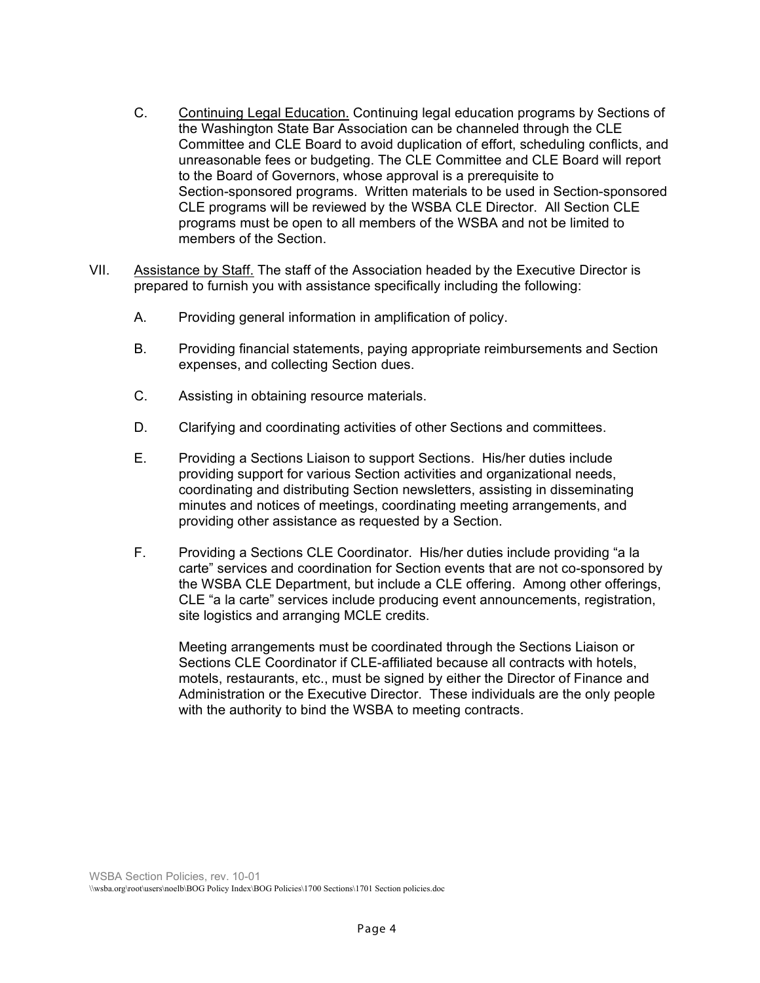- C. Continuing Legal Education. Continuing legal education programs by Sections of the Washington State Bar Association can be channeled through the CLE Committee and CLE Board to avoid duplication of effort, scheduling conflicts, and unreasonable fees or budgeting. The CLE Committee and CLE Board will report to the Board of Governors, whose approval is a prerequisite to Section-sponsored programs. Written materials to be used in Section-sponsored CLE programs will be reviewed by the WSBA CLE Director. All Section CLE programs must be open to all members of the WSBA and not be limited to members of the Section.
- VII. Assistance by Staff. The staff of the Association headed by the Executive Director is prepared to furnish you with assistance specifically including the following:
	- A. Providing general information in amplification of policy.
	- B. Providing financial statements, paying appropriate reimbursements and Section expenses, and collecting Section dues.
	- C. Assisting in obtaining resource materials.
	- D. Clarifying and coordinating activities of other Sections and committees.
	- E. Providing a Sections Liaison to support Sections. His/her duties include providing support for various Section activities and organizational needs, coordinating and distributing Section newsletters, assisting in disseminating minutes and notices of meetings, coordinating meeting arrangements, and providing other assistance as requested by a Section.
	- F. Providing a Sections CLE Coordinator. His/her duties include providing "a la carte" services and coordination for Section events that are not co-sponsored by the WSBA CLE Department, but include a CLE offering. Among other offerings, CLE "a la carte" services include producing event announcements, registration, site logistics and arranging MCLE credits.

Meeting arrangements must be coordinated through the Sections Liaison or Sections CLE Coordinator if CLE-affiliated because all contracts with hotels, motels, restaurants, etc., must be signed by either the Director of Finance and Administration or the Executive Director. These individuals are the only people with the authority to bind the WSBA to meeting contracts.